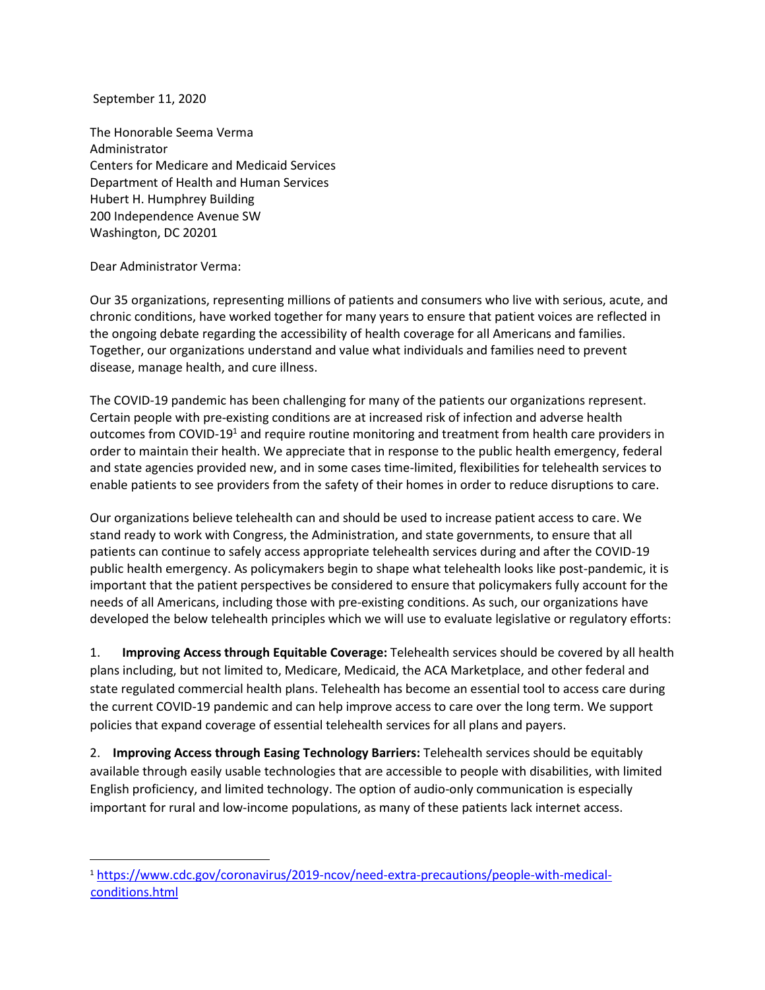September 11, 2020

The Honorable Seema Verma Administrator Centers for Medicare and Medicaid Services Department of Health and Human Services Hubert H. Humphrey Building 200 Independence Avenue SW Washington, DC 20201

Dear Administrator Verma:

Our 35 organizations, representing millions of patients and consumers who live with serious, acute, and chronic conditions, have worked together for many years to ensure that patient voices are reflected in the ongoing debate regarding the accessibility of health coverage for all Americans and families. Together, our organizations understand and value what individuals and families need to prevent disease, manage health, and cure illness.

The COVID-19 pandemic has been challenging for many of the patients our organizations represent. Certain people with pre-existing conditions are at increased risk of infection and adverse health outcomes from COVID-19<sup>1</sup> and require routine monitoring and treatment from health care providers in order to maintain their health. We appreciate that in response to the public health emergency, federal and state agencies provided new, and in some cases time-limited, flexibilities for telehealth services to enable patients to see providers from the safety of their homes in order to reduce disruptions to care.

Our organizations believe telehealth can and should be used to increase patient access to care. We stand ready to work with Congress, the Administration, and state governments, to ensure that all patients can continue to safely access appropriate telehealth services during and after the COVID-19 public health emergency. As policymakers begin to shape what telehealth looks like post-pandemic, it is important that the patient perspectives be considered to ensure that policymakers fully account for the needs of all Americans, including those with pre-existing conditions. As such, our organizations have developed the below telehealth principles which we will use to evaluate legislative or regulatory efforts:

1. **Improving Access through Equitable Coverage:** Telehealth services should be covered by all health plans including, but not limited to, Medicare, Medicaid, the ACA Marketplace, and other federal and state regulated commercial health plans. Telehealth has become an essential tool to access care during the current COVID-19 pandemic and can help improve access to care over the long term. We support policies that expand coverage of essential telehealth services for all plans and payers.

2. **Improving Access through Easing Technology Barriers:** Telehealth services should be equitably available through easily usable technologies that are accessible to people with disabilities, with limited English proficiency, and limited technology. The option of audio-only communication is especially important for rural and low-income populations, as many of these patients lack internet access.

<sup>1</sup> [https://www.cdc.gov/coronavirus/2019-ncov/need-extra-precautions/people-with-medical](https://www.cdc.gov/coronavirus/2019-ncov/need-extra-precautions/people-with-medical-conditions.html)[conditions.html](https://www.cdc.gov/coronavirus/2019-ncov/need-extra-precautions/people-with-medical-conditions.html)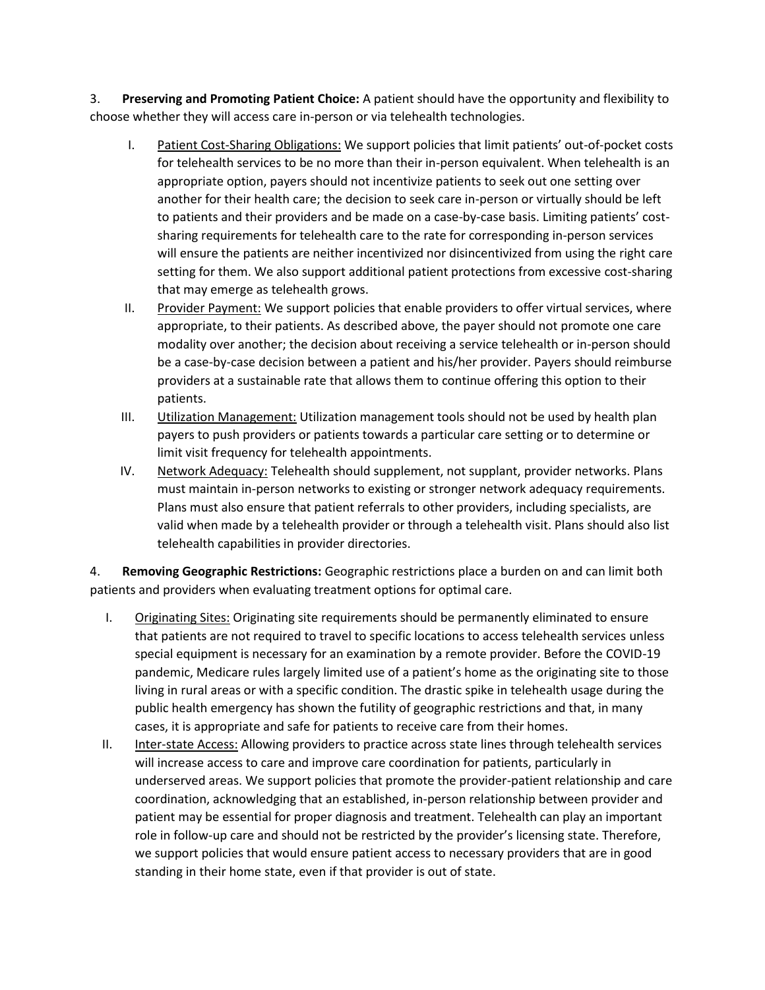3. **Preserving and Promoting Patient Choice:** A patient should have the opportunity and flexibility to choose whether they will access care in-person or via telehealth technologies.

- I. Patient Cost-Sharing Obligations: We support policies that limit patients' out-of-pocket costs for telehealth services to be no more than their in-person equivalent. When telehealth is an appropriate option, payers should not incentivize patients to seek out one setting over another for their health care; the decision to seek care in-person or virtually should be left to patients and their providers and be made on a case-by-case basis. Limiting patients' costsharing requirements for telehealth care to the rate for corresponding in-person services will ensure the patients are neither incentivized nor disincentivized from using the right care setting for them. We also support additional patient protections from excessive cost-sharing that may emerge as telehealth grows.
- II. Provider Payment: We support policies that enable providers to offer virtual services, where appropriate, to their patients. As described above, the payer should not promote one care modality over another; the decision about receiving a service telehealth or in-person should be a case-by-case decision between a patient and his/her provider. Payers should reimburse providers at a sustainable rate that allows them to continue offering this option to their patients.
- III. Utilization Management: Utilization management tools should not be used by health plan payers to push providers or patients towards a particular care setting or to determine or limit visit frequency for telehealth appointments.
- IV. Network Adequacy: Telehealth should supplement, not supplant, provider networks. Plans must maintain in-person networks to existing or stronger network adequacy requirements. Plans must also ensure that patient referrals to other providers, including specialists, are valid when made by a telehealth provider or through a telehealth visit. Plans should also list telehealth capabilities in provider directories.

4. **Removing Geographic Restrictions:** Geographic restrictions place a burden on and can limit both patients and providers when evaluating treatment options for optimal care.

- I. Originating Sites: Originating site requirements should be permanently eliminated to ensure that patients are not required to travel to specific locations to access telehealth services unless special equipment is necessary for an examination by a remote provider. Before the COVID-19 pandemic, Medicare rules largely limited use of a patient's home as the originating site to those living in rural areas or with a specific condition. The drastic spike in telehealth usage during the public health emergency has shown the futility of geographic restrictions and that, in many cases, it is appropriate and safe for patients to receive care from their homes.
- II. Inter-state Access: Allowing providers to practice across state lines through telehealth services will increase access to care and improve care coordination for patients, particularly in underserved areas. We support policies that promote the provider-patient relationship and care coordination, acknowledging that an established, in-person relationship between provider and patient may be essential for proper diagnosis and treatment. Telehealth can play an important role in follow-up care and should not be restricted by the provider's licensing state. Therefore, we support policies that would ensure patient access to necessary providers that are in good standing in their home state, even if that provider is out of state.